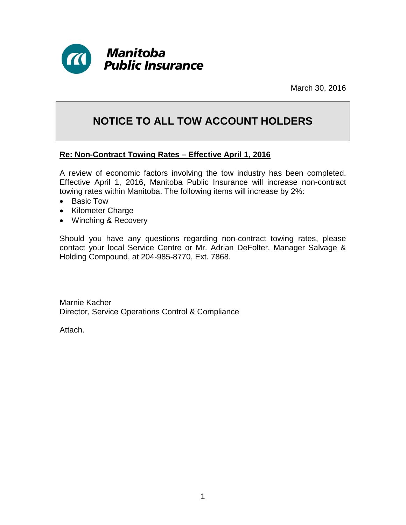

March 30, 2016

# **NOTICE TO ALL TOW ACCOUNT HOLDERS**

#### **Re: Non-Contract Towing Rates – Effective April 1, 2016**

A review of economic factors involving the tow industry has been completed. Effective April 1, 2016, Manitoba Public Insurance will increase non-contract towing rates within Manitoba. The following items will increase by 2%:

- Basic Tow
- Kilometer Charge
- Winching & Recovery

Should you have any questions regarding non-contract towing rates, please contact your local Service Centre or Mr. Adrian DeFolter, Manager Salvage & Holding Compound, at 204-985-8770, Ext. 7868.

Marnie Kacher Director, Service Operations Control & Compliance

Attach.